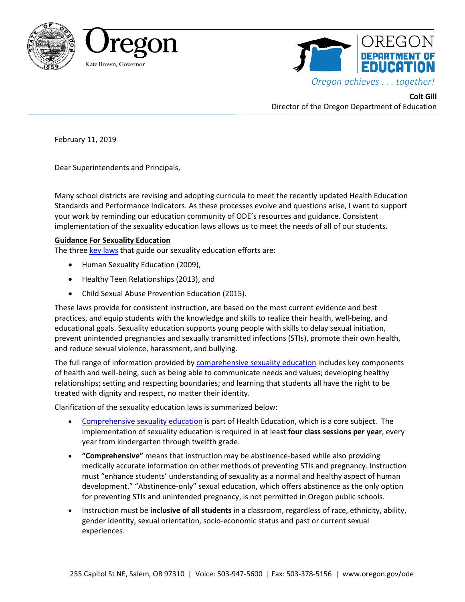





**Colt Gill** Director of the Oregon Department of Education

February 11, 2019

Dear Superintendents and Principals,

Many school districts are revising and adopting curricula to meet the recently updated Health Education Standards and Performance Indicators. As these processes evolve and questions arise, I want to support your work by reminding our education community of ODE's resources and guidance. Consistent implementation of the sexuality education laws allows us to meet the needs of all of our students.

## **Guidance For Sexuality Education**

The three [key laws](https://www.oregon.gov/ode/rules-and-policies/StateRules/Pages/OAR-Rule-581-022-1440.aspx) that guide our sexuality education efforts are:

- Human Sexuality Education (2009),
- Healthy Teen Relationships (2013), and
- Child Sexual Abuse Prevention Education (2015).

These laws provide for consistent instruction, are based on the most current evidence and best practices, and equip students with the knowledge and skills to realize their health, well-being, and educational goals. Sexuality education supports young people with skills to delay sexual initiation, prevent unintended pregnancies and sexually transmitted infections (STIs), promote their own health, and reduce sexual violence, harassment, and bullying.

The full range of information provided b[y comprehensive sexuality education](https://www.oregon.gov/ode/students-and-family/healthsafety/Documents/sexedfaq.pdf) includes key components of health and well-being, such as being able to communicate needs and values; developing healthy relationships; setting and respecting boundaries; and learning that students all have the right to be treated with dignity and respect, no matter their identity.

Clarification of the sexuality education laws is summarized below:

- [Comprehensive sexuality education](https://www.oregon.gov/ode/students-and-family/healthsafety/Documents/sexedfaq.pdf) is part of Health Education, which is a core subject. The implementation of sexuality education is required in at least **four class sessions per year**, every year from kindergarten through twelfth grade.
- **"Comprehensive"** means that instruction may be abstinence-based while also providing medically accurate information on other methods of preventing STIs and pregnancy. Instruction must "enhance students' understanding of sexuality as a normal and healthy aspect of human development." "Abstinence-only" sexual education, which offers abstinence as the only option for preventing STIs and unintended pregnancy, is not permitted in Oregon public schools.
- Instruction must be **inclusive of all students** in a classroom, regardless of race, ethnicity, ability, gender identity, sexual orientation, socio-economic status and past or current sexual experiences.